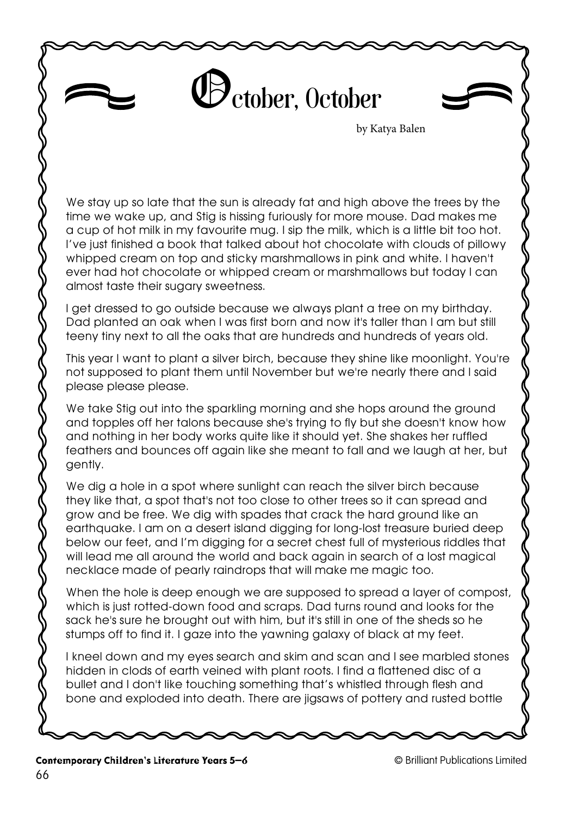## October, October

by Katya Balen

We stay up so late that the sun is already fat and high above the trees by the time we wake up, and Stig is hissing furiously for more mouse. Dad makes me a cup of hot milk in my favourite mug. I sip the milk, which is a little bit too hot. I've just finished a book that talked about hot chocolate with clouds of pillowy whipped cream on top and sticky marshmallows in pink and white. I haven't ever had hot chocolate or whipped cream or marshmallows but today I can almost taste their sugary sweetness.

I get dressed to go outside because we always plant a tree on my birthday. Dad planted an oak when l was first born and now it's taller than I am but still teeny tiny next to all the oaks that are hundreds and hundreds of years old.

This year I want to plant a silver birch, because they shine like moonlight. You're not supposed to plant them until November but we're nearly there and I said please please please.

We take Stig out into the sparkling morning and she hops around the ground and topples off her talons because she's trying to fly but she doesn't know how and nothing in her body works quite like it should yet. She shakes her ruffled feathers and bounces off again like she meant to fall and we laugh at her, but gently.

We dig a hole in a spot where sunlight can reach the silver birch because they like that, a spot that's not too close to other trees so it can spread and grow and be free. We dig with spades that crack the hard ground like an earthquake. I am on a desert island digging for long-lost treasure buried deep below our feet, and I'm digging for a secret chest full of mysterious riddles that will lead me all around the world and back again in search of a lost magical necklace made of pearly raindrops that will make me magic too.

When the hole is deep enough we are supposed to spread a layer of compost, which is just rotted-down food and scraps. Dad turns round and looks for the sack he's sure he brought out with him, but it's still in one of the sheds so he stumps off to find it. I gaze into the yawning galaxy of black at my feet.

I kneel down and my eyes search and skim and scan and I see marbled stones hidden in clods of earth veined with plant roots. I find a flattened disc of a bullet and I don't like touching something that's whistled through flesh and bone and exploded into death. There are jigsaws of pottery and rusted bottle